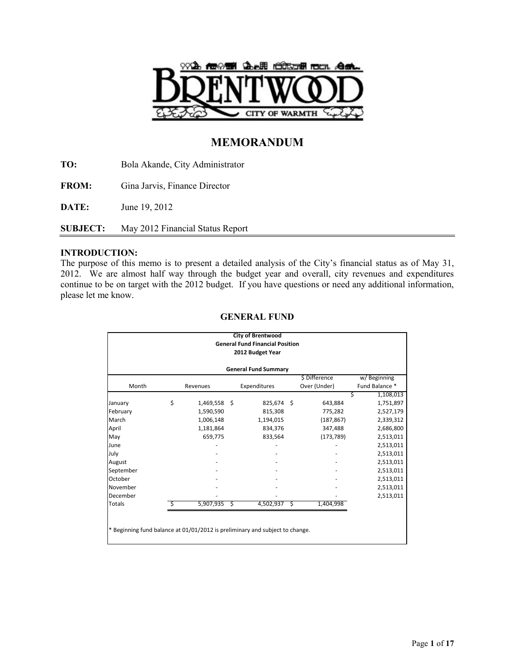

# **MEMORANDUM**

**TO:** Bola Akande, City Administrator

**FROM:** Gina Jarvis, Finance Director

**DATE:** June 19, 2012

**SUBJECT:** May 2012 Financial Status Report

## **INTRODUCTION:**

The purpose of this memo is to present a detailed analysis of the City's financial status as of May 31, 2012. We are almost half way through the budget year and overall, city revenues and expenditures continue to be on target with the 2012 budget. If you have questions or need any additional information, please let me know.

| Month<br>\$                                                                  | Revenues<br>1,469,558 | 2012 Budget Year<br><b>General Fund Summary</b><br>Expenditures |    | \$ Difference<br>Over (Under) | w/Beginning    |
|------------------------------------------------------------------------------|-----------------------|-----------------------------------------------------------------|----|-------------------------------|----------------|
|                                                                              |                       |                                                                 |    |                               |                |
|                                                                              |                       |                                                                 |    |                               |                |
|                                                                              |                       |                                                                 |    |                               |                |
|                                                                              |                       |                                                                 |    |                               | Fund Balance * |
| January                                                                      |                       |                                                                 |    |                               | Ś<br>1,108,013 |
|                                                                              |                       | \$<br>825,674                                                   | Ŝ. | 643,884                       | 1,751,897      |
| February                                                                     | 1,590,590             | 815,308                                                         |    | 775,282                       | 2,527,179      |
| March                                                                        | 1,006,148             | 1,194,015                                                       |    | (187, 867)                    | 2,339,312      |
| April                                                                        | 1,181,864             | 834,376                                                         |    | 347,488                       | 2,686,800      |
| May                                                                          | 659,775               | 833,564                                                         |    | (173, 789)                    | 2,513,011      |
| June                                                                         |                       |                                                                 |    |                               | 2,513,011      |
| July                                                                         |                       |                                                                 |    |                               | 2,513,011      |
| August                                                                       |                       |                                                                 |    |                               | 2,513,011      |
| September                                                                    |                       |                                                                 |    |                               | 2,513,011      |
| October                                                                      |                       |                                                                 |    |                               | 2,513,011      |
| November                                                                     |                       |                                                                 |    |                               | 2,513,011      |
| December                                                                     |                       |                                                                 |    |                               | 2,513,011      |
| Totals                                                                       | 5,907,935             | 4,502,937                                                       | S  | 1,404,998                     |                |
|                                                                              |                       |                                                                 |    |                               |                |
|                                                                              |                       |                                                                 |    |                               |                |
| * Beginning fund balance at 01/01/2012 is preliminary and subject to change. |                       |                                                                 |    |                               |                |

## **GENERAL FUND**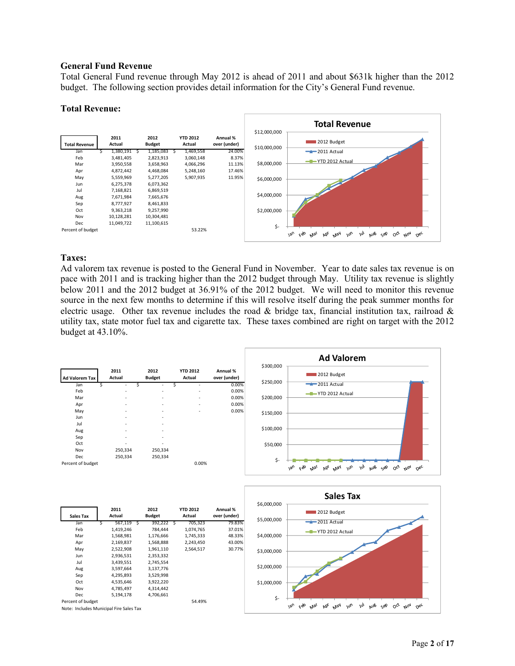#### **General Fund Revenue**

Total General Fund revenue through May 2012 is ahead of 2011 and about \$631k higher than the 2012 budget. The following section provides detail information for the City's General Fund revenue.

#### **Total Revenue:**



## **Taxes:**

Ad valorem tax revenue is posted to the General Fund in November. Year to date sales tax revenue is on pace with 2011 and is tracking higher than the 2012 budget through May. Utility tax revenue is slightly below 2011 and the 2012 budget at 36.91% of the 2012 budget. We will need to monitor this revenue source in the next few months to determine if this will resolve itself during the peak summer months for electric usage. Other tax revenue includes the road  $\&$  bridge tax, financial institution tax, railroad  $\&$ utility tax, state motor fuel tax and cigarette tax. These taxes combined are right on target with the 2012 budget at 43.10%.



\$-

Jan feb Mar Apr May Jun

Note: Includes Municipal Fire Sales Tax

Nov  $4,785,497$   $4,314,442$ <br>Dec  $5.194.178$   $4.706.661$ 

4,706,661

Jul Aus sep oct Not Dec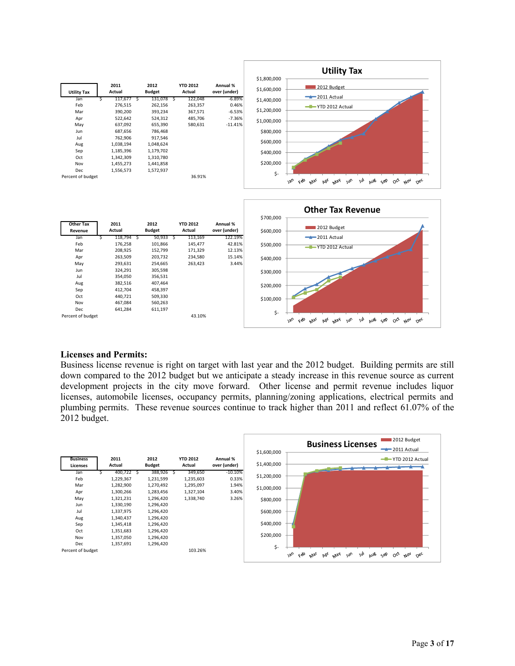

| Jan               | 118,794 5 | 50,933 \$ | 113,169 | 122.19% |           | $-2011$ Actual                                                                                                                                  |
|-------------------|-----------|-----------|---------|---------|-----------|-------------------------------------------------------------------------------------------------------------------------------------------------|
| Feb               | 176,258   | 101,866   | 145,477 | 42.81%  | \$500,000 | -T-YTD 2012 Actual                                                                                                                              |
| Mar               | 208,925   | 152,799   | 171,329 | 12.13%  |           |                                                                                                                                                 |
| Apr               | 263,509   | 203,732   | 234,580 | 15.14%  | \$400,000 |                                                                                                                                                 |
| May               | 293,631   | 254,665   | 263,423 | 3.44%   |           |                                                                                                                                                 |
| Jun               | 324,291   | 305,598   |         |         | \$300,000 |                                                                                                                                                 |
| Jul               | 354,050   | 356,531   |         |         |           |                                                                                                                                                 |
| Aug               | 382,516   | 407,464   |         |         | \$200,000 |                                                                                                                                                 |
| Sep               | 412,704   | 458,397   |         |         |           |                                                                                                                                                 |
| Oct               | 440,721   | 509,330   |         |         | \$100,000 |                                                                                                                                                 |
| Nov               | 467,084   | 560,263   |         |         |           |                                                                                                                                                 |
| Dec               | 641,284   | 611,197   |         |         | \$-       |                                                                                                                                                 |
| Percent of budget |           |           | 43.10%  |         |           |                                                                                                                                                 |
|                   |           |           |         |         |           | $v_{v}$<br>ceo<br>aus<br>$w^{\prime}$<br>$\omega$<br>$O_{6c}$<br>جون<br>$0^{\circ}$<br>40 <sub>q</sub><br>$M_{S_A}$<br>$\nu_{\text{V3}}$<br>bb, |

#### **Licenses and Permits:**

Business license revenue is right on target with last year and the 2012 budget. Building permits are still down compared to the 2012 budget but we anticipate a steady increase in this revenue source as current development projects in the city move forward. Other license and permit revenue includes liquor licenses, automobile licenses, occupancy permits, planning/zoning applications, electrical permits and plumbing permits. These revenue sources continue to track higher than 2011 and reflect 61.07% of the 2012 budget.

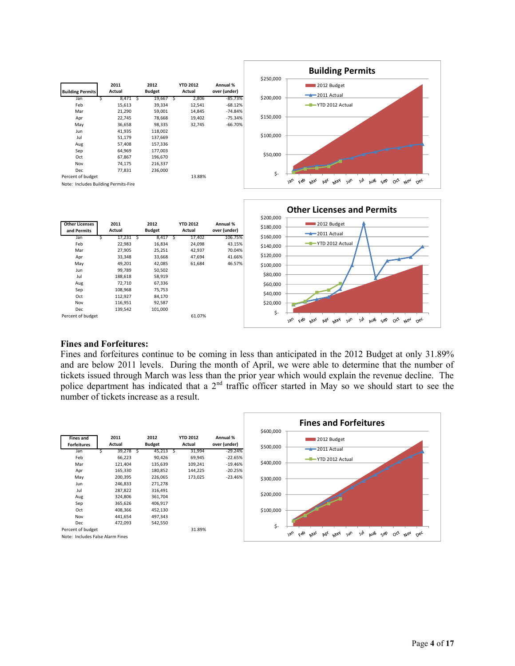



#### **Fines and Forfeitures:**

Fines and forfeitures continue to be coming in less than anticipated in the 2012 Budget at only 31.89% and are below 2011 levels. During the month of April, we were able to determine that the number of tickets issued through March was less than the prior year which would explain the revenue decline. The police department has indicated that a  $2<sup>nd</sup>$  traffic officer started in May so we should start to see the number of tickets increase as a result.

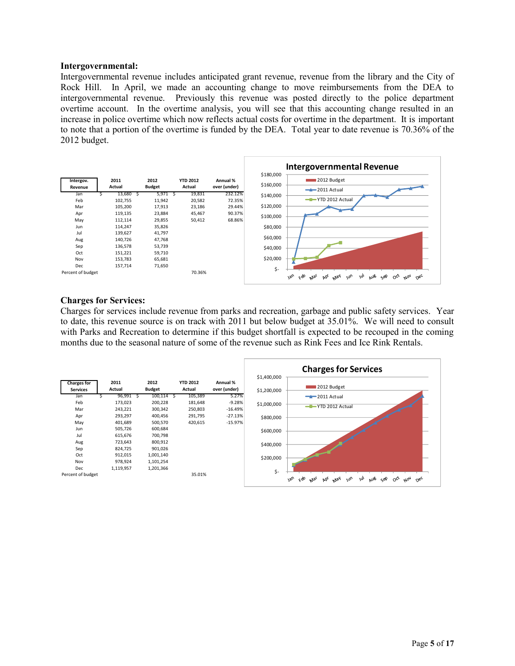#### **Intergovernmental:**

Intergovernmental revenue includes anticipated grant revenue, revenue from the library and the City of Rock Hill. In April, we made an accounting change to move reimbursements from the DEA to intergovernmental revenue. Previously this revenue was posted directly to the police department overtime account. In the overtime analysis, you will see that this accounting change resulted in an increase in police overtime which now reflects actual costs for overtime in the department. It is important to note that a portion of the overtime is funded by the DEA. Total year to date revenue is 70.36% of the 2012 budget.



## **Charges for Services:**

Charges for services include revenue from parks and recreation, garbage and public safety services. Year to date, this revenue source is on track with 2011 but below budget at 35.01%. We will need to consult with Parks and Recreation to determine if this budget shortfall is expected to be recouped in the coming months due to the seasonal nature of some of the revenue such as Rink Fees and Ice Rink Rentals.

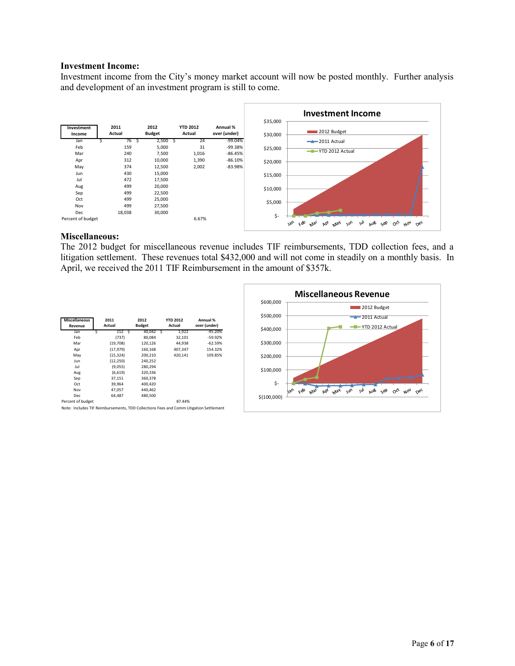#### **Investment Income:**

Investment income from the City's money market account will now be posted monthly. Further analysis and development of an investment program is still to come.



#### **Miscellaneous:**

The 2012 budget for miscellaneous revenue includes TIF reimbursements, TDD collection fees, and a litigation settlement. These revenues total \$432,000 and will not come in steadily on a monthly basis. In April, we received the 2011 TIF Reimbursement in the amount of \$357k.

| <b>Miscellaneous</b><br>Revenue | 2011<br>Actual | 2012<br><b>Budget</b> | <b>YTD 2012</b><br>Actual | Annual %<br>over (under) |
|---------------------------------|----------------|-----------------------|---------------------------|--------------------------|
| Jan                             | 152 S          | 40,042                | 1,922<br>S                | $-95.20%$                |
| Feb                             | (737)          | 80.084                | 32,101                    | $-59.92%$                |
| Mar                             | (19,708)       | 120,126               | 44.938                    | $-62.59%$                |
| Apr                             | (17.979)       | 160,168               | 407.347                   | 154.32%                  |
| May                             | (15, 324)      | 200,210               | 420.141                   | 109.85%                  |
| Jun                             | (12, 250)      | 240,252               |                           |                          |
| Jul                             | (9,055)        | 280.294               |                           |                          |
| Aug                             | (6, 619)       | 320,336               |                           |                          |
| Sep                             | 37,151         | 360,378               |                           |                          |
| Oct                             | 39.964         | 400.420               |                           |                          |
| Nov                             | 47.057         | 440.462               |                           |                          |
| <b>Dec</b>                      | 64.487         | 480.500               |                           |                          |
| Percent of budget               |                |                       | 87.44%                    |                          |

Note: Includes TIF Reimbursements, TDD Collections Fees and Comm Litigation Settlement

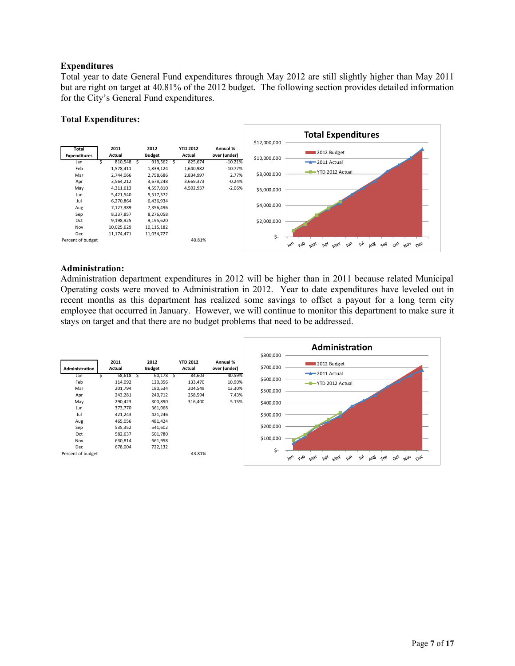## **Expenditures**

Total year to date General Fund expenditures through May 2012 are still slightly higher than May 2011 but are right on target at 40.81% of the 2012 budget. The following section provides detailed information for the City's General Fund expenditures.

### **Total Expenditures:**



## **Administration:**

Administration department expenditures in 2012 will be higher than in 2011 because related Municipal Operating costs were moved to Administration in 2012. Year to date expenditures have leveled out in recent months as this department has realized some savings to offset a payout for a long term city employee that occurred in January. However, we will continue to monitor this department to make sure it stays on target and that there are no budget problems that need to be addressed.

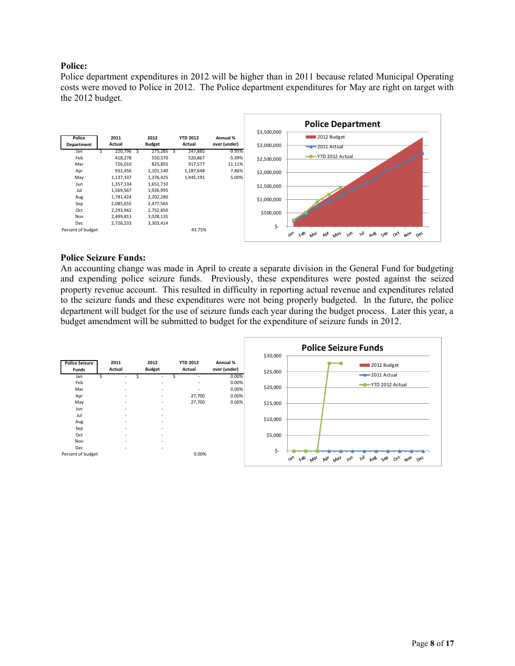## **Police:**

Police department expenditures in 2012 will be higher than in 2011 because related Municipal Operating costs were moved to Police in 2012. The Police department expenditures for May are right on target with the 2012 budget.



#### **Police Seizure Funds:**

An accounting change was made in April to create a separate division in the General Fund for budgeting and expending police seizure funds. Previously, these expenditures were posted against the seized property revenue account. This resulted in difficulty in reporting actual revenue and expenditures related to the seizure funds and these expenditures were not being properly budgeted. In the future, the police department will budget for the use of seizure funds each year during the budget process. Later this year, a budget amendment will be submitted to budget for the expenditure of seizure funds in 2012.

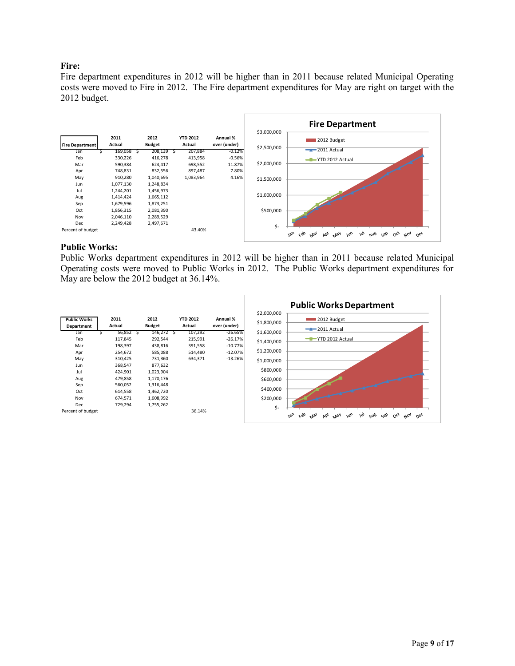## **Fire:**

Fire department expenditures in 2012 will be higher than in 2011 because related Municipal Operating costs were moved to Fire in 2012. The Fire department expenditures for May are right on target with the 2012 budget.



#### **Public Works:**

Public Works department expenditures in 2012 will be higher than in 2011 because related Municipal Operating costs were moved to Public Works in 2012. The Public Works department expenditures for May are below the 2012 budget at 36.14%.

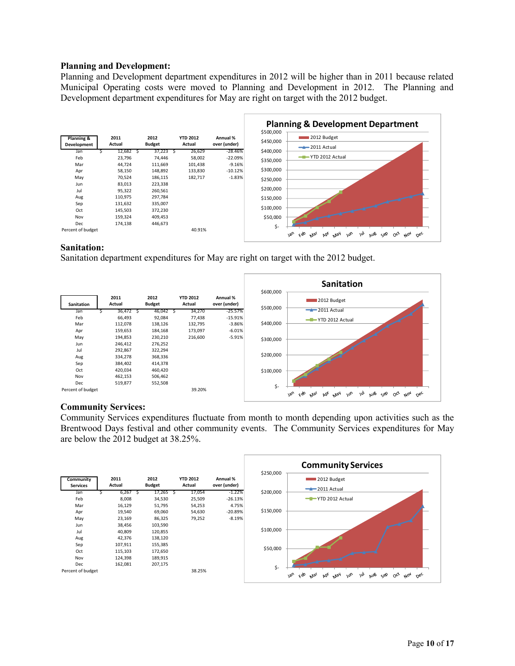#### **Planning and Development:**

Planning and Development department expenditures in 2012 will be higher than in 2011 because related Municipal Operating costs were moved to Planning and Development in 2012. The Planning and Development department expenditures for May are right on target with the 2012 budget.



## **Sanitation:**

Sanitation department expenditures for May are right on target with the 2012 budget.



## **Community Services:**

Community Services expenditures fluctuate from month to month depending upon activities such as the Brentwood Days festival and other community events. The Community Services expenditures for May are below the 2012 budget at 38.25%.

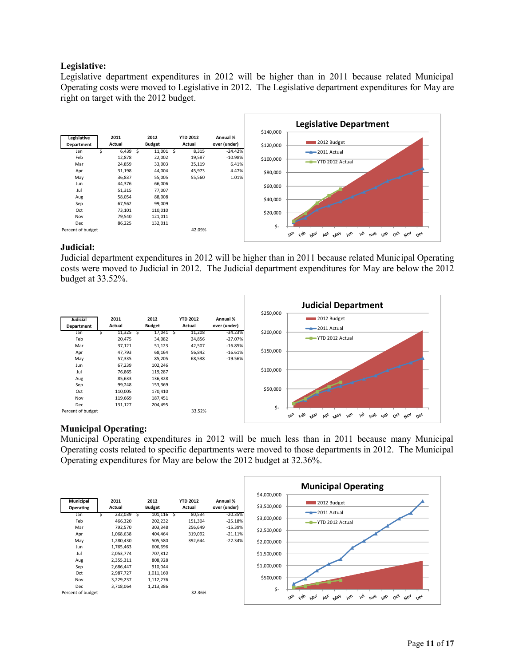## **Legislative:**

Legislative department expenditures in 2012 will be higher than in 2011 because related Municipal Operating costs were moved to Legislative in 2012. The Legislative department expenditures for May are right on target with the 2012 budget.



## **Judicial:**

Judicial department expenditures in 2012 will be higher than in 2011 because related Municipal Operating costs were moved to Judicial in 2012. The Judicial department expenditures for May are below the 2012 budget at 33.52%.



## **Municipal Operating:**

Municipal Operating expenditures in 2012 will be much less than in 2011 because many Municipal Operating costs related to specific departments were moved to those departments in 2012. The Municipal Operating expenditures for May are below the 2012 budget at 32.36%.

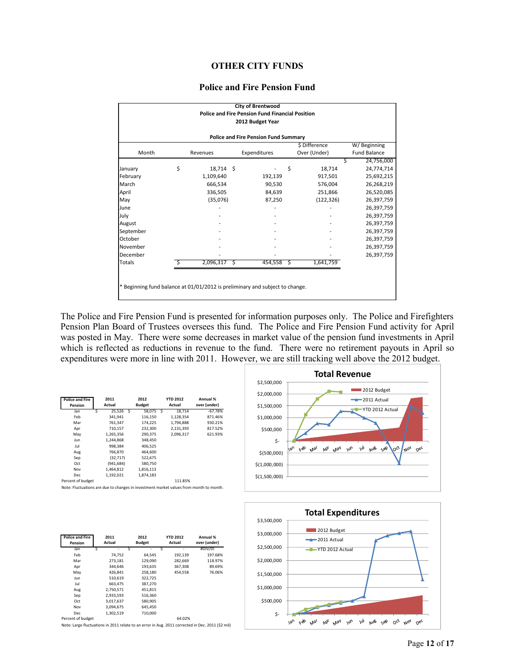## **OTHER CITY FUNDS**

#### **Police and Fire Pension Fund**

|                                                                              |    |           |   | <b>City of Brentwood</b><br><b>Police and Fire Pension Fund Financial Position</b> |    |               |                     |  |  |  |  |  |
|------------------------------------------------------------------------------|----|-----------|---|------------------------------------------------------------------------------------|----|---------------|---------------------|--|--|--|--|--|
|                                                                              |    |           |   | 2012 Budget Year                                                                   |    |               |                     |  |  |  |  |  |
| <b>Police and Fire Pension Fund Summary</b>                                  |    |           |   |                                                                                    |    |               |                     |  |  |  |  |  |
|                                                                              |    |           |   |                                                                                    |    | \$ Difference | W/Beginning         |  |  |  |  |  |
| Month                                                                        |    | Revenues  |   | Expenditures                                                                       |    | Over (Under)  | <b>Fund Balance</b> |  |  |  |  |  |
|                                                                              |    |           |   |                                                                                    |    |               | Ś<br>24,756,000     |  |  |  |  |  |
| January                                                                      | \$ | 18,714 \$ |   |                                                                                    | \$ | 18,714        | 24,774,714          |  |  |  |  |  |
| February                                                                     |    | 1,109,640 |   | 192,139                                                                            |    | 917,501       | 25,692,215          |  |  |  |  |  |
| March                                                                        |    | 666,534   |   | 90,530                                                                             |    | 576,004       | 26,268,219          |  |  |  |  |  |
| April                                                                        |    | 336,505   |   | 84,639                                                                             |    | 251,866       | 26,520,085          |  |  |  |  |  |
| May                                                                          |    | (35,076)  |   | 87,250                                                                             |    | (122, 326)    | 26,397,759          |  |  |  |  |  |
| June                                                                         |    |           |   |                                                                                    |    |               | 26,397,759          |  |  |  |  |  |
| July                                                                         |    |           |   |                                                                                    |    |               | 26,397,759          |  |  |  |  |  |
| August                                                                       |    |           |   |                                                                                    |    |               | 26,397,759          |  |  |  |  |  |
| September                                                                    |    |           |   |                                                                                    |    |               | 26,397,759          |  |  |  |  |  |
| October                                                                      |    |           |   |                                                                                    |    |               | 26,397,759          |  |  |  |  |  |
| November                                                                     |    |           |   |                                                                                    |    |               | 26,397,759          |  |  |  |  |  |
| December                                                                     |    |           |   |                                                                                    |    |               | 26,397,759          |  |  |  |  |  |
| Totals                                                                       | ς  | 2,096,317 | Ŝ | 454,558                                                                            | Ŝ  | 1,641,759     |                     |  |  |  |  |  |
|                                                                              |    |           |   |                                                                                    |    |               |                     |  |  |  |  |  |
|                                                                              |    |           |   |                                                                                    |    |               |                     |  |  |  |  |  |
| * Beginning fund balance at 01/01/2012 is preliminary and subject to change. |    |           |   |                                                                                    |    |               |                     |  |  |  |  |  |
|                                                                              |    |           |   |                                                                                    |    |               |                     |  |  |  |  |  |

The Police and Fire Pension Fund is presented for information purposes only. The Police and Firefighters Pension Plan Board of Trustees oversees this fund. The Police and Fire Pension Fund activity for April was posted in May. There were some decreases in market value of the pension fund investments in April which is reflected as reductions in revenue to the fund. There were no retirement payouts in April so expenditures were more in line with 2011. However, we are still tracking well above the 2012 budget.

| <b>Police and Fire</b><br>Pension |   | 2011<br>Actual |    | 2012<br><b>Budget</b> | <b>YTD 2012</b><br>Actual | Annual %<br>over (under) |  |  |
|-----------------------------------|---|----------------|----|-----------------------|---------------------------|--------------------------|--|--|
| Jan                               | Ś | 25,526         | -S | 58.075 S              | 18.714                    | $-67.78%$                |  |  |
| Feb                               |   | 341.941        |    | 116.150               | 1.128.354                 | 871.46%                  |  |  |
| Mar                               |   | 761.347        |    | 174.225               | 1.794.888                 | 930.21%                  |  |  |
| Apr                               |   | 710,157        |    | 232,300               | 2,131,393                 | 817.52%                  |  |  |
| May                               |   | 1,265,356      |    | 290.375               | 2.096.317                 | 621.93%                  |  |  |
| <b>Jun</b>                        |   | 1.244.868      |    | 348.450               |                           |                          |  |  |
| Jul                               |   | 998.384        |    | 406.525               |                           |                          |  |  |
| Aug                               |   | 766,870        |    | 464.600               |                           |                          |  |  |
| Sep                               |   | (32, 717)      |    | 522,675               |                           |                          |  |  |
| Oct                               |   | (941, 684)     |    | 580.750               |                           |                          |  |  |
| Nov                               |   | 1.464.812      |    | 1.816.113             |                           |                          |  |  |
| Dec                               |   | 1.192.021      |    | 1.874.183             |                           |                          |  |  |
| Percent of budget                 |   |                |    |                       | 111.85%                   |                          |  |  |





| Dec                               | 1,192,021 | 1.874.183     |                 |                                                                                        |
|-----------------------------------|-----------|---------------|-----------------|----------------------------------------------------------------------------------------|
| Percent of budget                 |           |               | 111.85%         |                                                                                        |
|                                   |           |               |                 | Note: Fluctuations are due to changes in investment market values from month to month. |
|                                   |           |               |                 |                                                                                        |
|                                   |           |               |                 |                                                                                        |
|                                   |           |               |                 |                                                                                        |
|                                   |           |               |                 |                                                                                        |
|                                   |           |               |                 |                                                                                        |
|                                   |           |               |                 |                                                                                        |
|                                   |           |               |                 |                                                                                        |
|                                   |           |               |                 |                                                                                        |
|                                   | 2011      | 2012          | <b>YTD 2012</b> | Annual %                                                                               |
| <b>Police and Fire</b><br>Pension | Actual    | <b>Budget</b> | Actual          | over (under)                                                                           |
| Jan                               | Ś         | Ś             | Ś               | #DIV/0!                                                                                |
| Feb                               | 74,752    | 64,545        | 192,139         | 197.68%                                                                                |
| Mar                               | 273,181   | 129,090       | 282,669         | 118.97%                                                                                |
| Apr                               | 344,646   | 193,635       | 367,308         | 89.69%                                                                                 |
| May                               | 426,841   | 258,180       | 454,558         | 76.06%                                                                                 |

Note: Large fluctuations in 2011 relate to an error in Aug. 2011 corrected in Dec. 2011 (\$2 mil)

Jul 663,475 387,270 2,750,571 451,815<br>2,933,593 516,360

Sep 2,933,593 516,360<br>Oct 3,017,637 580,905  $3,017,637$ Nov 3,094,675 645,450<br>Dec 1,302,519 710,000  $1,302,519$ Percent of budget 64.02%

Page **12** of **17**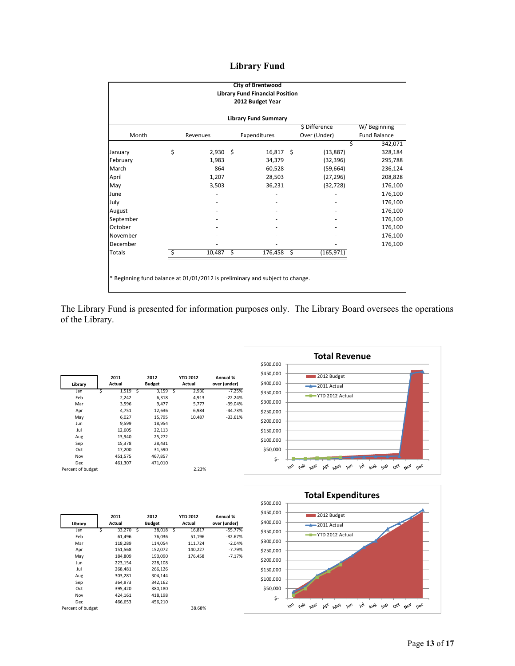# **Library Fund**

| <b>City of Brentwood</b><br><b>Library Fund Financial Position</b><br>2012 Budget Year |                                                                              |            |   |              |   |               |                     |  |  |  |  |
|----------------------------------------------------------------------------------------|------------------------------------------------------------------------------|------------|---|--------------|---|---------------|---------------------|--|--|--|--|
| <b>Library Fund Summary</b>                                                            |                                                                              |            |   |              |   |               |                     |  |  |  |  |
|                                                                                        |                                                                              |            |   |              |   | \$ Difference | W/Beginning         |  |  |  |  |
| Month                                                                                  |                                                                              | Revenues   |   | Expenditures |   | Over (Under)  | <b>Fund Balance</b> |  |  |  |  |
|                                                                                        |                                                                              |            |   |              |   |               | 342,071<br>Ś        |  |  |  |  |
| January                                                                                | \$                                                                           | $2,930$ \$ |   | $16,817$ \$  |   | (13, 887)     | 328,184             |  |  |  |  |
| February                                                                               |                                                                              | 1,983      |   | 34,379       |   | (32, 396)     | 295,788             |  |  |  |  |
| March                                                                                  |                                                                              | 864        |   | 60,528       |   | (59, 664)     | 236,124             |  |  |  |  |
| April                                                                                  |                                                                              | 1,207      |   | 28,503       |   | (27, 296)     | 208,828             |  |  |  |  |
| May                                                                                    |                                                                              | 3,503      |   | 36,231       |   | (32, 728)     | 176,100             |  |  |  |  |
| June                                                                                   |                                                                              |            |   |              |   |               | 176,100             |  |  |  |  |
| July                                                                                   |                                                                              |            |   |              |   |               | 176,100             |  |  |  |  |
| August                                                                                 |                                                                              |            |   |              |   |               | 176,100             |  |  |  |  |
| September                                                                              |                                                                              |            |   |              |   |               | 176,100             |  |  |  |  |
| October                                                                                |                                                                              |            |   |              |   |               | 176,100             |  |  |  |  |
| November                                                                               |                                                                              |            |   |              |   |               | 176,100             |  |  |  |  |
| December                                                                               |                                                                              |            |   |              |   |               | 176,100             |  |  |  |  |
| <b>Totals</b>                                                                          |                                                                              | 10,487     | S | 176,458      | S | (165, 971)    |                     |  |  |  |  |
|                                                                                        | * Beginning fund balance at 01/01/2012 is preliminary and subject to change. |            |   |              |   |               |                     |  |  |  |  |

The Library Fund is presented for information purposes only. The Library Board oversees the operations of the Library.

| Library           | 2011<br>Actual | 2012<br><b>Budget</b> | <b>YTD 2012</b><br>Actual | Annual %<br>over (under) |
|-------------------|----------------|-----------------------|---------------------------|--------------------------|
| Jan               | 1,519          | 3,159                 | 2,930                     | -7.25%                   |
| Feb               | 2,242          | 6,318                 | 4,913                     | $-22.24%$                |
| Mar               | 3,596          | 9,477                 | 5,777                     | $-39.04%$                |
| Apr               | 4,751          | 12,636                | 6,984                     | $-44.73%$                |
| May               | 6,027          | 15,795                | 10,487                    | $-33.61%$                |
| Jun               | 9,599          | 18,954                |                           |                          |
| Jul               | 12,605         | 22,113                |                           |                          |
| Aug               | 13,940         | 25,272                |                           |                          |
| Sep               | 15,378         | 28,431                |                           |                          |
| Oct               | 17,200         | 31,590                |                           |                          |
| Nov               | 451,575        | 467,857               |                           |                          |
| Dec               | 461,307        | 471,010               |                           |                          |
| Percent of budget |                |                       | 2.23%                     |                          |





| Library           | 2011<br>Actual |     | 2012<br><b>Budget</b> | <b>YTD 2012</b><br>Actual | Annual %<br>over (under) |
|-------------------|----------------|-----|-----------------------|---------------------------|--------------------------|
| Jan               | 33,270         | - S | 38,018 S              | 16,817                    | $-55.77%$                |
| Feb               | 61,496         |     | 76,036                | 51,196                    | $-32.67%$                |
| Mar               | 118,289        |     | 114.054               | 111,724                   | $-2.04%$                 |
| Apr               | 151,568        |     | 152,072               | 140,227                   | $-7.79%$                 |
| May               | 184,809        |     | 190,090               | 176,458                   | $-7.17%$                 |
| Jun               | 223,154        |     | 228,108               |                           |                          |
| Jul               | 268,481        |     | 266.126               |                           |                          |
| Aug               | 303,281        |     | 304.144               |                           |                          |
| Sep               | 364,873        |     | 342,162               |                           |                          |
| Oct               | 395,420        |     | 380,180               |                           |                          |
| Nov               | 424,161        |     | 418,198               |                           |                          |
| Dec               | 466,653        |     | 456.210               |                           |                          |
| Percent of budget |                |     |                       | 38.68%                    |                          |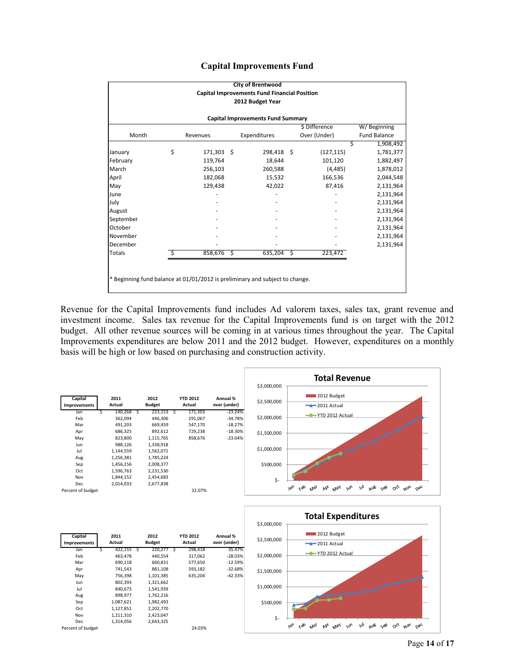|  | <b>Capital Improvements Fund</b> |  |
|--|----------------------------------|--|
|--|----------------------------------|--|

|                                                                              |    |            |    | <b>City of Brentwood</b>                            |   |               |   |              |  |  |
|------------------------------------------------------------------------------|----|------------|----|-----------------------------------------------------|---|---------------|---|--------------|--|--|
|                                                                              |    |            |    | <b>Capital Improvements Fund Financial Position</b> |   |               |   |              |  |  |
|                                                                              |    |            |    | 2012 Budget Year                                    |   |               |   |              |  |  |
| <b>Capital Improvements Fund Summary</b>                                     |    |            |    |                                                     |   |               |   |              |  |  |
|                                                                              |    |            |    |                                                     |   | \$ Difference |   | W/Beginning  |  |  |
| Month                                                                        |    | Revenues   |    | Expenditures                                        |   | Over (Under)  |   | Fund Balance |  |  |
|                                                                              |    |            |    |                                                     |   |               | Ś | 1,908,492    |  |  |
| January                                                                      | \$ | 171,303 \$ |    | 298,418 \$                                          |   | (127, 115)    |   | 1,781,377    |  |  |
| February                                                                     |    | 119,764    |    | 18,644                                              |   | 101,120       |   | 1,882,497    |  |  |
| March                                                                        |    | 256,103    |    | 260,588                                             |   | (4, 485)      |   | 1,878,012    |  |  |
| April                                                                        |    | 182,068    |    | 15,532                                              |   | 166,536       |   | 2,044,548    |  |  |
| May                                                                          |    | 129,438    |    | 42,022                                              |   | 87,416        |   | 2,131,964    |  |  |
| June                                                                         |    |            |    |                                                     |   |               |   | 2,131,964    |  |  |
| July                                                                         |    |            |    |                                                     |   |               |   | 2,131,964    |  |  |
| August                                                                       |    |            |    |                                                     |   |               |   | 2,131,964    |  |  |
| September                                                                    |    |            |    |                                                     |   |               |   | 2,131,964    |  |  |
| October                                                                      |    |            |    |                                                     |   |               |   | 2,131,964    |  |  |
| November                                                                     |    |            |    |                                                     |   |               |   | 2,131,964    |  |  |
| December                                                                     |    |            |    |                                                     |   |               |   | 2,131,964    |  |  |
| <b>Totals</b>                                                                |    | 858,676    | Ŝ. | 635,204                                             | Ś | 223,472       |   |              |  |  |
|                                                                              |    |            |    |                                                     |   |               |   |              |  |  |
|                                                                              |    |            |    |                                                     |   |               |   |              |  |  |
| * Beginning fund balance at 01/01/2012 is preliminary and subject to change. |    |            |    |                                                     |   |               |   |              |  |  |
|                                                                              |    |            |    |                                                     |   |               |   |              |  |  |

Revenue for the Capital Improvements fund includes Ad valorem taxes, sales tax, grant revenue and investment income. Sales tax revenue for the Capital Improvements fund is on target with the 2012 budget. All other revenue sources will be coming in at various times throughout the year. The Capital Improvements expenditures are below 2011 and the 2012 budget. However, expenditures on a monthly basis will be high or low based on purchasing and construction activity.

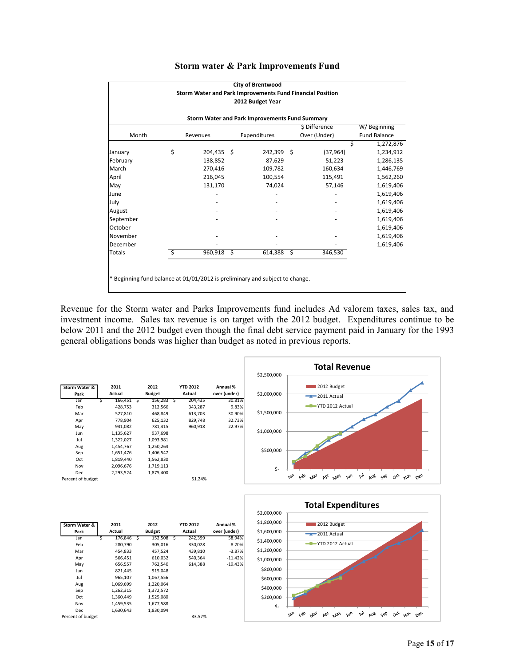| <b>City of Brentwood</b>                                                     |    |            |    |                                                           |    |               |  |                     |  |  |  |  |
|------------------------------------------------------------------------------|----|------------|----|-----------------------------------------------------------|----|---------------|--|---------------------|--|--|--|--|
|                                                                              |    |            |    | Storm Water and Park Improvements Fund Financial Position |    |               |  |                     |  |  |  |  |
|                                                                              |    |            |    | 2012 Budget Year                                          |    |               |  |                     |  |  |  |  |
|                                                                              |    |            |    |                                                           |    |               |  |                     |  |  |  |  |
| Storm Water and Park Improvements Fund Summary                               |    |            |    |                                                           |    |               |  |                     |  |  |  |  |
|                                                                              |    |            |    |                                                           |    | \$ Difference |  | W/Beginning         |  |  |  |  |
| Month                                                                        |    | Revenues   |    | Expenditures                                              |    | Over (Under)  |  | <b>Fund Balance</b> |  |  |  |  |
|                                                                              |    |            |    |                                                           |    |               |  | 1,272,876           |  |  |  |  |
| January                                                                      | \$ | 204,435 \$ |    | 242,399 \$                                                |    | (37, 964)     |  | 1,234,912           |  |  |  |  |
| February                                                                     |    | 138,852    |    | 87,629                                                    |    | 51,223        |  | 1,286,135           |  |  |  |  |
| March                                                                        |    | 270,416    |    | 109,782                                                   |    | 160,634       |  | 1,446,769           |  |  |  |  |
| April                                                                        |    | 216,045    |    | 100,554                                                   |    | 115,491       |  | 1,562,260           |  |  |  |  |
| May                                                                          |    | 131,170    |    | 74,024                                                    |    | 57,146        |  | 1,619,406           |  |  |  |  |
| June                                                                         |    |            |    |                                                           |    |               |  | 1,619,406           |  |  |  |  |
| July                                                                         |    |            |    |                                                           |    |               |  | 1,619,406           |  |  |  |  |
| August                                                                       |    |            |    |                                                           |    |               |  | 1,619,406           |  |  |  |  |
| September                                                                    |    |            |    |                                                           |    |               |  | 1,619,406           |  |  |  |  |
| October                                                                      |    |            |    |                                                           |    |               |  | 1,619,406           |  |  |  |  |
| November                                                                     |    |            |    |                                                           |    |               |  | 1,619,406           |  |  |  |  |
| December                                                                     |    |            |    |                                                           |    |               |  | 1,619,406           |  |  |  |  |
| Totals                                                                       |    | 960,918    | Ŝ. | 614,388                                                   | \$ | 346,530       |  |                     |  |  |  |  |
|                                                                              |    |            |    |                                                           |    |               |  |                     |  |  |  |  |
|                                                                              |    |            |    |                                                           |    |               |  |                     |  |  |  |  |
| * Beginning fund balance at 01/01/2012 is preliminary and subject to change. |    |            |    |                                                           |    |               |  |                     |  |  |  |  |
|                                                                              |    |            |    |                                                           |    |               |  |                     |  |  |  |  |

#### **Storm water & Park Improvements Fund**

Revenue for the Storm water and Parks Improvements fund includes Ad valorem taxes, sales tax, and investment income. Sales tax revenue is on target with the 2012 budget. Expenditures continue to be below 2011 and the 2012 budget even though the final debt service payment paid in January for the 1993 general obligations bonds was higher than budget as noted in previous reports.



| Storm Water &<br>Park |   | 2011<br>Actual |   | 2012<br><b>Budget</b> |   | <b>YTD 2012</b><br>Actual | Annual %<br>over (under) |  |
|-----------------------|---|----------------|---|-----------------------|---|---------------------------|--------------------------|--|
| Jan                   | Ś | 176,846        | S | 152,508               | S | 242,399                   | 58.94%                   |  |
| Feb                   |   | 280,790        |   | 305,016               |   | 330,028                   | 8.20%                    |  |
| Mar                   |   | 454,833        |   | 457,524               |   | 439,810                   | $-3.87%$                 |  |
| Apr                   |   | 566,451        |   | 610,032               |   | 540,364                   | $-11.42%$                |  |
| May                   |   | 656,557        |   | 762,540               |   | 614.388                   | $-19.43%$                |  |
| Jun                   |   | 821,445        |   | 915,048               |   |                           |                          |  |
| Jul                   |   | 965,107        |   | 1,067,556             |   |                           |                          |  |
| Aug                   |   | 1,069,699      |   | 1,220,064             |   |                           |                          |  |
| Sep                   |   | 1,262,315      |   | 1,372,572             |   |                           |                          |  |
| Oct                   |   | 1,360,449      |   | 1,525,080             |   |                           |                          |  |
| Nov                   |   | 1,459,535      |   | 1,677,588             |   |                           |                          |  |
| <b>Dec</b>            |   | 1,630,643      |   | 1,830,094             |   |                           |                          |  |
| Percent of budget     |   |                |   |                       |   | 33.57%                    |                          |  |

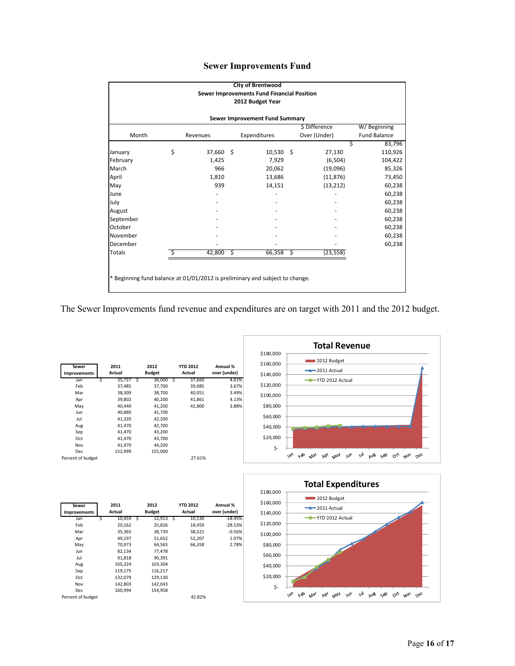|  | <b>Sewer Improvements Fund</b> |  |
|--|--------------------------------|--|
|--|--------------------------------|--|

| <b>City of Brentwood</b><br>Sewer Improvements Fund Financial Position       |    |             |              |             |  |              |                     |  |  |  |  |
|------------------------------------------------------------------------------|----|-------------|--------------|-------------|--|--------------|---------------------|--|--|--|--|
| 2012 Budget Year                                                             |    |             |              |             |  |              |                     |  |  |  |  |
| Sewer Improvement Fund Summary                                               |    |             |              |             |  |              |                     |  |  |  |  |
| \$ Difference<br>W/Beginning                                                 |    |             |              |             |  |              |                     |  |  |  |  |
| Month                                                                        |    | Revenues    | Expenditures |             |  | Over (Under) | <b>Fund Balance</b> |  |  |  |  |
|                                                                              |    |             |              |             |  |              | 83,796<br>Ś         |  |  |  |  |
| January                                                                      | \$ | 37,660 \$   |              | $10,530$ \$ |  | 27,130       | 110,926             |  |  |  |  |
| February                                                                     |    | 1,425       |              | 7,929       |  | (6,504)      | 104,422             |  |  |  |  |
| March                                                                        |    | 966         |              | 20,062      |  | (19,096)     | 85,326              |  |  |  |  |
| April                                                                        |    | 1,810       |              | 13,686      |  | (11, 876)    | 73,450              |  |  |  |  |
| May                                                                          |    | 939         |              | 14,151      |  | (13, 212)    | 60,238              |  |  |  |  |
| June                                                                         |    |             |              |             |  |              | 60,238              |  |  |  |  |
| July                                                                         |    |             |              |             |  |              | 60,238              |  |  |  |  |
| August                                                                       |    |             |              |             |  |              | 60,238              |  |  |  |  |
| September                                                                    |    |             |              |             |  |              | 60,238              |  |  |  |  |
| October                                                                      |    |             |              |             |  |              | 60,238              |  |  |  |  |
| November                                                                     |    |             |              |             |  |              | 60,238              |  |  |  |  |
| December                                                                     |    |             |              |             |  |              | 60,238              |  |  |  |  |
| Totals                                                                       | Ś  | $42,800$ \$ |              | $66,358$ \$ |  | (23, 558)    |                     |  |  |  |  |
|                                                                              |    |             |              |             |  |              |                     |  |  |  |  |
|                                                                              |    |             |              |             |  |              |                     |  |  |  |  |
| * Beginning fund balance at 01/01/2012 is preliminary and subject to change. |    |             |              |             |  |              |                     |  |  |  |  |
|                                                                              |    |             |              |             |  |              |                     |  |  |  |  |

The Sewer Improvements fund revenue and expenditures are on target with 2011 and the 2012 budget.

| Sewer<br>Improvements | 2011<br>Actual |             | 2012<br><b>Budget</b> |         |   | <b>YTD 2012</b><br>Actual | Annual %<br>over (under) |  |
|-----------------------|----------------|-------------|-----------------------|---------|---|---------------------------|--------------------------|--|
| Jan                   | Ś              | $35,727$ \$ |                       | 36,000  | S | 37,660                    | 4.61%                    |  |
| Feb                   |                | 37,485      |                       | 37,700  |   | 39,085                    | 3.67%                    |  |
| Mar                   |                | 38,309      |                       | 38,700  |   | 40,051                    | 3.49%                    |  |
| Apr                   |                | 39,802      |                       | 40,200  |   | 41,861                    | 4.13%                    |  |
| May                   |                | 40,440      |                       | 41,200  |   | 42,800                    | 3.88%                    |  |
| Jun                   |                | 40,880      |                       | 41,700  |   |                           |                          |  |
| Jul                   |                | 41,320      |                       | 42,200  |   |                           |                          |  |
| Aug                   |                | 41,470      |                       | 42,700  |   |                           |                          |  |
| Sep                   |                | 41,470      |                       | 43,200  |   |                           |                          |  |
| Oct                   |                | 41,470      |                       | 43,700  |   |                           |                          |  |
| Nov                   |                | 41.470      |                       | 44.200  |   |                           |                          |  |
| Dec                   |                | 152,999     |                       | 155,000 |   |                           |                          |  |
| Percent of budget     |                |             |                       |         |   | 27.61%                    |                          |  |





| Sewer<br>Improvements | 2011<br>Actual |         | 2012<br><b>Budget</b> |         |     | <b>YTD 2012</b><br>Actual | Annual %<br>over (under) |
|-----------------------|----------------|---------|-----------------------|---------|-----|---------------------------|--------------------------|
| Jan                   | Ś              | 10,459  | Ś                     | 12,913  | - S | 10,530                    | $-18.45%$                |
| Feb                   |                | 20.162  |                       | 25.826  |     | 18.459                    | $-28.53%$                |
| Mar                   |                | 35,365  |                       | 38,739  |     | 38,521                    | $-0.56%$                 |
| Apr                   |                | 49,197  |                       | 51,652  |     | 52,207                    | 1.07%                    |
| May                   |                | 70,973  |                       | 64.565  |     | 66.358                    | 2.78%                    |
| Jun                   |                | 82,134  |                       | 77,478  |     |                           |                          |
| Jul                   |                | 91,818  |                       | 90,391  |     |                           |                          |
| Aug                   |                | 105,324 |                       | 103,304 |     |                           |                          |
| Sep                   |                | 119,175 |                       | 116,217 |     |                           |                          |
| Oct                   |                | 132,079 |                       | 129,130 |     |                           |                          |
| Nov                   |                | 142,803 |                       | 142,043 |     |                           |                          |
| Dec                   |                | 160,994 |                       | 154,958 |     |                           |                          |
| Percent of budget     |                |         |                       |         |     | 42.82%                    |                          |